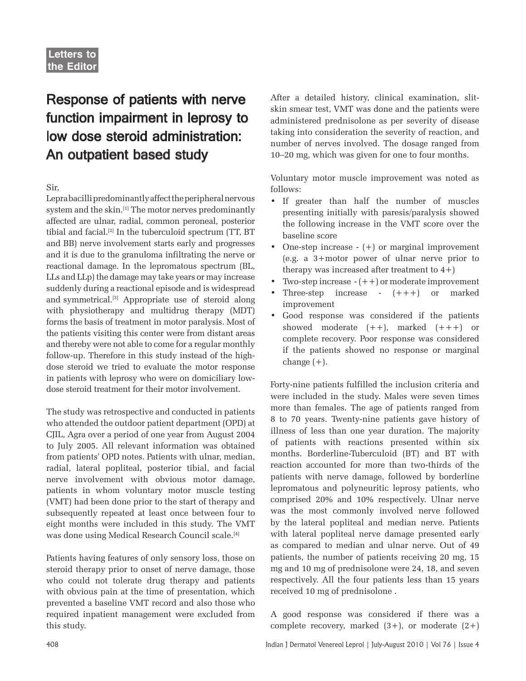## Response of patients with nerve function impairment in leprosy to low dose steroid administration: An outpatient based study

Sir,

Lepra bacilli predominantly affect the peripheral nervous system and the skin.<sup>[1]</sup> The motor nerves predominantly affected are ulnar, radial, common peroneal, posterior tibial and facial.[2] In the tuberculoid spectrum (TT, BT and BB) nerve involvement starts early and progresses and it is due to the granuloma infiltrating the nerve or reactional damage. In the lepromatous spectrum (BL, LLs and LLp) the damage may take years or may increase suddenly during a reactional episode and is widespread and symmetrical.[3] Appropriate use of steroid along with physiotherapy and multidrug therapy (MDT) forms the basis of treatment in motor paralysis. Most of the patients visiting this center were from distant areas and thereby were not able to come for a regular monthly follow-up. Therefore in this study instead of the highdose steroid we tried to evaluate the motor response in patients with leprosy who were on domiciliary lowdose steroid treatment for their motor involvement.

The study was retrospective and conducted in patients who attended the outdoor patient department (OPD) at CJIL, Agra over a period of one year from August 2004 to July 2005. All relevant information was obtained from patients' OPD notes. Patients with ulnar, median, radial, lateral popliteal, posterior tibial, and facial nerve involvement with obvious motor damage, patients in whom voluntary motor muscle testing (VMT) had been done prior to the start of therapy and subsequently repeated at least once between four to eight months were included in this study. The VMT was done using Medical Research Council scale.[4]

Patients having features of only sensory loss, those on steroid therapy prior to onset of nerve damage, those who could not tolerate drug therapy and patients with obvious pain at the time of presentation, which prevented a baseline VMT record and also those who required inpatient management were excluded from this study.

After a detailed history, clinical examination, slitskin smear test, VMT was done and the patients were administered prednisolone as per severity of disease taking into consideration the severity of reaction, and number of nerves involved. The dosage ranged from 10–20 mg, which was given for one to four months.

Voluntary motor muscle improvement was noted as follows:

- If greater than half the number of muscles presenting initially with paresis/paralysis showed the following increase in the VMT score over the baseline score
- One-step increase (+) or marginal improvement (e.g. a 3+motor power of ulnar nerve prior to therapy was increased after treatment to  $4+$ )
- Two-step increase  $-(++)$  or moderate improvement
- Three-step increase  $(+++)$  or marked improvement
- Good response was considered if the patients showed moderate  $(++)$ , marked  $(+++)$  or complete recovery. Poor response was considered if the patients showed no response or marginal change  $(+)$ .

Forty-nine patients fulfilled the inclusion criteria and were included in the study. Males were seven times more than females. The age of patients ranged from 8 to 70 years. Twenty-nine patients gave history of illness of less than one year duration. The majority of patients with reactions presented within six months. Borderline-Tuberculoid (BT) and BT with reaction accounted for more than two-thirds of the patients with nerve damage, followed by borderline lepromatous and polyneuritic leprosy patients, who comprised 20% and 10% respectively. Ulnar nerve was the most commonly involved nerve followed by the lateral popliteal and median nerve. Patients with lateral popliteal nerve damage presented early as compared to median and ulnar nerve. Out of 49 patients, the number of patients receiving 20 mg, 15 mg and 10 mg of prednisolone were 24, 18, and seven respectively. All the four patients less than 15 years received 10 mg of prednisolone .

A good response was considered if there was a complete recovery, marked  $(3+)$ , or moderate  $(2+)$